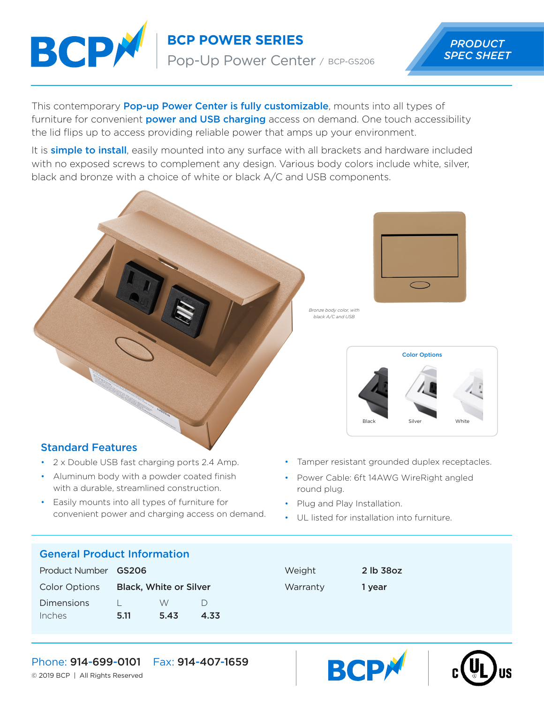

**BCP POWER SERIES** Pop-Up Power Center / BCP-GS206



This contemporary **Pop-up Power Center is fully customizable**, mounts into all types of furniture for convenient **power and USB charging** access on demand. One touch accessibility the lid flips up to access providing reliable power that amps up your environment.

It is **simple to install**, easily mounted into any surface with all brackets and hardware included with no exposed screws to complement any design. Various body colors include white, silver, black and bronze with a choice of white or black A/C and USB components.



*Bronze body color, with black A/C and USB*



## Standard Features

- 2 x Double USB fast charging ports 2.4 Amp.
- Aluminum body with a powder coated finish with a durable, streamlined construction.
- Easily mounts into all types of furniture for convenient power and charging access on demand.
- Tamper resistant grounded duplex receptacles.
- Power Cable: 6ft 14AWG WireRight angled round plug.
- Plug and Play Installation.
- UL listed for installation into furniture.

### General Product Information

| Product Number GS206 |                               |      |      |
|----------------------|-------------------------------|------|------|
| <b>Color Options</b> | <b>Black, White or Silver</b> |      |      |
| Dimensions           |                               | W    |      |
| Inches               | 5.11                          | 5.43 | 4.33 |

| Weight   |  |
|----------|--|
| Warranty |  |

2 lb 38oz 1 year





Phone: 914-699-0101 Fax: 914-407-1659

© 2019 BCP | All Rights Reserved